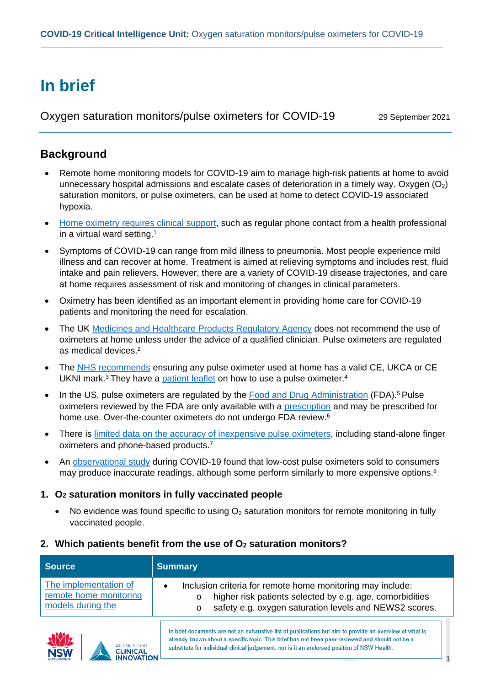# **In brief**

Oxygen saturation monitors/pulse oximeters for COVID-19 29 September 2021

# **Background**

- Remote home monitoring models for COVID-19 aim to manage high-risk patients at home to avoid unnecessary hospital admissions and escalate cases of deterioration in a timely way. Oxygen  $(O<sub>2</sub>)$ saturation monitors, or pulse oximeters, can be used at home to detect COVID-19 associated hypoxia.
- [Home oximetry requires clinical support,](https://www.bmj.com/content/372/bmj.n677.long?__cf_chl_jschl_tk__=pmd_8d8696ef2d56786fc47a6d94d40a0a97c131f4fb-1628229180-0-gqNtZGzNAfijcnBszRCO) such as regular phone contact from a health professional in a virtual ward setting. 1
- Symptoms of COVID-19 can range from mild illness to pneumonia. Most people experience mild illness and can recover at home. Treatment is aimed at relieving symptoms and includes rest, fluid intake and pain relievers. However, there are a variety of COVID-19 disease trajectories, and care at home requires assessment of risk and monitoring of changes in clinical parameters.
- Oximetry has been identified as an important element in providing home care for COVID-19 patients and monitoring the need for escalation.
- The UK [Medicines and Healthcare Products Regulatory Agency](https://www.gov.uk/guidance/the-use-and-regulation-of-pulse-oximeters-information-for-healthcare-professionals#home-use-of-pulse-oximeters) does not recommend the use of oximeters at home unless under the advice of a qualified clinician. Pulse oximeters are regulated as medical devices. 2
- The [NHS recommends](https://www.nhs.uk/conditions/coronavirus-covid-19/self-isolation-and-treatment/how-to-treat-symptoms-at-home/) ensuring any pulse oximeter used at home has a valid CE, UKCA or CE UKNI mark.<sup>3</sup> They have a [patient leaflet](https://www.england.nhs.uk/coronavirus/wp-content/uploads/sites/52/2020/06/Pulse-Oximeter-Easy-Read-final-online-v4.pdf) on how to use a pulse oximeter.<sup>4</sup>
- In the US, pulse oximeters are regulated by the [Food and Drug Administration](https://www.fda.gov/regulatory-information/search-fda-guidance-documents/pulse-oximeters-premarket-notification-submissions-510ks-guidance-industry-and-food-and-drug) (FDA).<sup>5</sup> Pulse oximeters reviewed by the FDA are only available with a [prescription](https://www.fda.gov/medical-devices/safety-communications/pulse-oximeter-accuracy-and-limitations-fda-safety-communication) and may be prescribed for home use. Over-the-counter oximeters do not undergo FDA review.<sup>6</sup>
- There is [limited data on the accuracy of inexpensive pulse oximeters,](https://www.atsjournals.org/doi/10.1513/AnnalsATS.202005-418FR) including stand-alone finger oximeters and phone-based products.7
- An [observational study](https://journals.lww.com/anesthesia-analgesia/Fulltext/2016/08000/The_Accuracy_of_6_Inexpensive_Pulse_Oximeters_Not.9.aspx) during COVID-19 found that low-cost pulse oximeters sold to consumers may produce inaccurate readings, although some perform similarly to more expensive options.<sup>8</sup>

# **1. O2 saturation monitors in fully vaccinated people**

• No evidence was found specific to using  $O<sub>2</sub>$  saturation monitors for remote monitoring in fully vaccinated people.

#### **2. Which patients benefit from the use of O2 saturation monitors?**

| <b>Source</b>          | <b>Summary</b>                                             |
|------------------------|------------------------------------------------------------|
| The implementation of  | Inclusion criteria for remote home monitoring may include: |
| remote home monitoring | higher risk patients selected by e.g. age, comorbidities   |
| models during the      | safety e.g. oxygen saturation levels and NEWS2 scores.     |



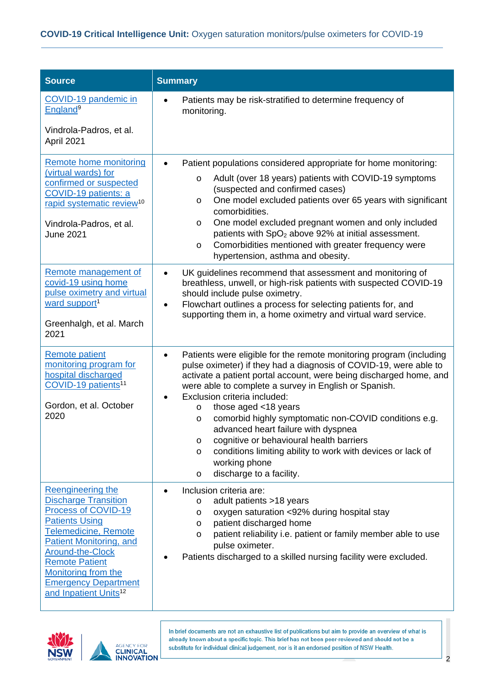| <b>Source</b>                                                                                                                                                                                                                                                                                                           | <b>Summary</b>                                                                                                                                                                                                                                                                                                                                                                                                                                                                                                                                                                                                                                               |
|-------------------------------------------------------------------------------------------------------------------------------------------------------------------------------------------------------------------------------------------------------------------------------------------------------------------------|--------------------------------------------------------------------------------------------------------------------------------------------------------------------------------------------------------------------------------------------------------------------------------------------------------------------------------------------------------------------------------------------------------------------------------------------------------------------------------------------------------------------------------------------------------------------------------------------------------------------------------------------------------------|
| COVID-19 pandemic in<br>England <sup>9</sup><br>Vindrola-Padros, et al.<br>April 2021                                                                                                                                                                                                                                   | Patients may be risk-stratified to determine frequency of<br>$\bullet$<br>monitoring.                                                                                                                                                                                                                                                                                                                                                                                                                                                                                                                                                                        |
| Remote home monitoring<br>(virtual wards) for<br>confirmed or suspected<br>COVID-19 patients: a<br>rapid systematic review <sup>10</sup><br>Vindrola-Padros, et al.<br>June 2021                                                                                                                                        | Patient populations considered appropriate for home monitoring:<br>$\bullet$<br>Adult (over 18 years) patients with COVID-19 symptoms<br>$\circ$<br>(suspected and confirmed cases)<br>One model excluded patients over 65 years with significant<br>$\circ$<br>comorbidities.<br>One model excluded pregnant women and only included<br>$\circ$<br>patients with SpO <sub>2</sub> above 92% at initial assessment.<br>Comorbidities mentioned with greater frequency were<br>$\circ$<br>hypertension, asthma and obesity.                                                                                                                                   |
| Remote management of<br>covid-19 using home<br>pulse oximetry and virtual<br>ward support <sup>1</sup><br>Greenhalgh, et al. March<br>2021                                                                                                                                                                              | UK guidelines recommend that assessment and monitoring of<br>$\bullet$<br>breathless, unwell, or high-risk patients with suspected COVID-19<br>should include pulse oximetry.<br>Flowchart outlines a process for selecting patients for, and<br>$\bullet$<br>supporting them in, a home oximetry and virtual ward service.                                                                                                                                                                                                                                                                                                                                  |
| <b>Remote patient</b><br>monitoring program for<br>hospital discharged<br>COVID-19 patients <sup>11</sup><br>Gordon, et al. October<br>2020                                                                                                                                                                             | Patients were eligible for the remote monitoring program (including<br>$\bullet$<br>pulse oximeter) if they had a diagnosis of COVID-19, were able to<br>activate a patient portal account, were being discharged home, and<br>were able to complete a survey in English or Spanish.<br>Exclusion criteria included:<br>$\bullet$<br>those aged <18 years<br>$\circ$<br>comorbid highly symptomatic non-COVID conditions e.g.<br>$\circ$<br>advanced heart failure with dyspnea<br>cognitive or behavioural health barriers<br>O<br>conditions limiting ability to work with devices or lack of<br>$\circ$<br>working phone<br>discharge to a facility.<br>O |
| <b>Reengineering the</b><br><b>Discharge Transition</b><br>Process of COVID-19<br><b>Patients Using</b><br>Telemedicine, Remote<br><b>Patient Monitoring, and</b><br><b>Around-the-Clock</b><br><b>Remote Patient</b><br><b>Monitoring from the</b><br><b>Emergency Department</b><br>and Inpatient Units <sup>12</sup> | Inclusion criteria are:<br>$\bullet$<br>adult patients >18 years<br>O<br>oxygen saturation <92% during hospital stay<br>O<br>patient discharged home<br>O<br>patient reliability i.e. patient or family member able to use<br>O<br>pulse oximeter.<br>Patients discharged to a skilled nursing facility were excluded.                                                                                                                                                                                                                                                                                                                                       |



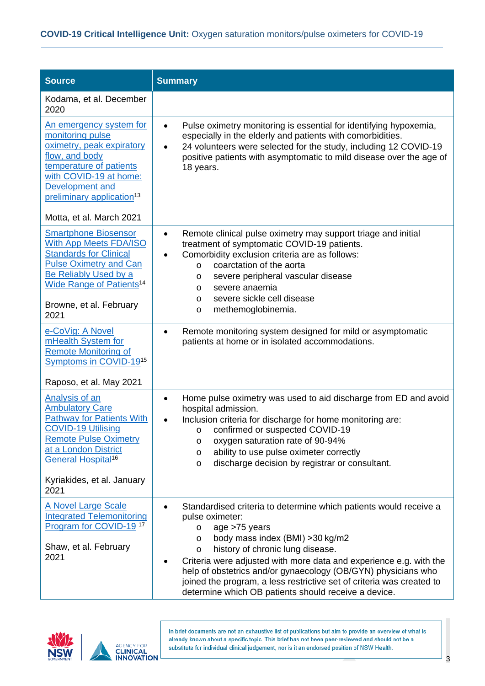| <b>Source</b>                                                                                                                                                                                                    | <b>Summary</b>                                                                                                                                                                                                                                                                                                                                                                                                                                                                                |
|------------------------------------------------------------------------------------------------------------------------------------------------------------------------------------------------------------------|-----------------------------------------------------------------------------------------------------------------------------------------------------------------------------------------------------------------------------------------------------------------------------------------------------------------------------------------------------------------------------------------------------------------------------------------------------------------------------------------------|
| Kodama, et al. December<br>2020                                                                                                                                                                                  |                                                                                                                                                                                                                                                                                                                                                                                                                                                                                               |
| An emergency system for<br>monitoring pulse<br>oximetry, peak expiratory<br>flow, and body<br>temperature of patients<br>with COVID-19 at home:<br>Development and<br>preliminary application <sup>13</sup>      | Pulse oximetry monitoring is essential for identifying hypoxemia,<br>$\bullet$<br>especially in the elderly and patients with comorbidities.<br>24 volunteers were selected for the study, including 12 COVID-19<br>$\bullet$<br>positive patients with asymptomatic to mild disease over the age of<br>18 years.                                                                                                                                                                             |
| Motta, et al. March 2021                                                                                                                                                                                         |                                                                                                                                                                                                                                                                                                                                                                                                                                                                                               |
| <b>Smartphone Biosensor</b><br><b>With App Meets FDA/ISO</b><br><b>Standards for Clinical</b><br><b>Pulse Oximetry and Can</b><br><b>Be Reliably Used by a</b><br><b>Wide Range of Patients<sup>14</sup></b>     | Remote clinical pulse oximetry may support triage and initial<br>$\bullet$<br>treatment of symptomatic COVID-19 patients.<br>Comorbidity exclusion criteria are as follows:<br>$\bullet$<br>coarctation of the aorta<br>$\circ$<br>severe peripheral vascular disease<br>O<br>severe anaemia<br>$\circ$<br>severe sickle cell disease                                                                                                                                                         |
| Browne, et al. February<br>2021                                                                                                                                                                                  | O<br>methemoglobinemia.<br>$\circ$                                                                                                                                                                                                                                                                                                                                                                                                                                                            |
| e-CoVig: A Novel<br>mHealth System for<br><b>Remote Monitoring of</b><br>Symptoms in COVID-1915                                                                                                                  | Remote monitoring system designed for mild or asymptomatic<br>patients at home or in isolated accommodations.                                                                                                                                                                                                                                                                                                                                                                                 |
| Raposo, et al. May 2021                                                                                                                                                                                          |                                                                                                                                                                                                                                                                                                                                                                                                                                                                                               |
| <b>Analysis of an</b><br><b>Ambulatory Care</b><br><b>Pathway for Patients With</b><br><b>COVID-19 Utilising</b><br><b>Remote Pulse Oximetry</b><br>at a London District<br><b>General Hospital<sup>16</sup></b> | Home pulse oximetry was used to aid discharge from ED and avoid<br>$\bullet$<br>hospital admission.<br>Inclusion criteria for discharge for home monitoring are:<br>$\bullet$<br>confirmed or suspected COVID-19<br>O<br>oxygen saturation rate of 90-94%<br>O<br>ability to use pulse oximeter correctly<br>O<br>discharge decision by registrar or consultant.<br>O                                                                                                                         |
| Kyriakides, et al. January<br>2021                                                                                                                                                                               |                                                                                                                                                                                                                                                                                                                                                                                                                                                                                               |
| <b>A Novel Large Scale</b><br><b>Integrated Telemonitoring</b><br>Program for COVID-19 <sup>17</sup><br>Shaw, et al. February<br>2021                                                                            | Standardised criteria to determine which patients would receive a<br>$\bullet$<br>pulse oximeter:<br>age >75 years<br>$\circ$<br>body mass index (BMI) > 30 kg/m2<br>$\circ$<br>history of chronic lung disease.<br>O<br>Criteria were adjusted with more data and experience e.g. with the<br>help of obstetrics and/or gynaecology (OB/GYN) physicians who<br>joined the program, a less restrictive set of criteria was created to<br>determine which OB patients should receive a device. |



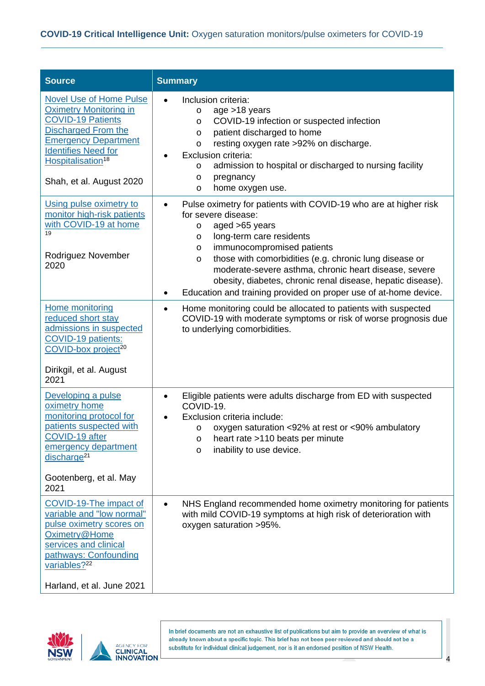| <b>Source</b>                                                                                                                                                                                                                                       | <b>Summary</b>                                                                                                                                                                                                                                                                                                                                                                                                                                                                      |
|-----------------------------------------------------------------------------------------------------------------------------------------------------------------------------------------------------------------------------------------------------|-------------------------------------------------------------------------------------------------------------------------------------------------------------------------------------------------------------------------------------------------------------------------------------------------------------------------------------------------------------------------------------------------------------------------------------------------------------------------------------|
| <b>Novel Use of Home Pulse</b><br><b>Oximetry Monitoring in</b><br><b>COVID-19 Patients</b><br><b>Discharged From the</b><br><b>Emergency Department</b><br><b>Identifies Need for</b><br>Hospitalisation <sup>18</sup><br>Shah, et al. August 2020 | Inclusion criteria:<br>$\bullet$<br>age >18 years<br>$\circ$<br>COVID-19 infection or suspected infection<br>$\circ$<br>patient discharged to home<br>O<br>resting oxygen rate >92% on discharge.<br>O<br>Exclusion criteria:<br>admission to hospital or discharged to nursing facility<br>O<br>pregnancy<br>O<br>home oxygen use.<br>$\circ$                                                                                                                                      |
| Using pulse oximetry to<br>monitor high-risk patients<br>with COVID-19 at home<br>19<br>Rodriguez November<br>2020                                                                                                                                  | Pulse oximetry for patients with COVID-19 who are at higher risk<br>$\bullet$<br>for severe disease:<br>aged >65 years<br>O<br>long-term care residents<br>O<br>immunocompromised patients<br>$\circ$<br>those with comorbidities (e.g. chronic lung disease or<br>$\circ$<br>moderate-severe asthma, chronic heart disease, severe<br>obesity, diabetes, chronic renal disease, hepatic disease).<br>Education and training provided on proper use of at-home device.<br>$\bullet$ |
| <b>Home monitoring</b><br>reduced short stay<br>admissions in suspected<br><b>COVID-19 patients:</b><br>COVID-box project <sup>20</sup><br>Dirikgil, et al. August<br>2021                                                                          | Home monitoring could be allocated to patients with suspected<br>$\bullet$<br>COVID-19 with moderate symptoms or risk of worse prognosis due<br>to underlying comorbidities.                                                                                                                                                                                                                                                                                                        |
| Developing a pulse<br>oximetry home<br>monitoring protocol for<br>patients suspected with<br>COVID-19 after<br>emergency department<br>discharge <sup>21</sup><br>Gootenberg, et al. May<br>2021                                                    | Eligible patients were adults discharge from ED with suspected<br>$\bullet$<br>COVID-19.<br>Exclusion criteria include:<br>$\bullet$<br>oxygen saturation <92% at rest or <90% ambulatory<br>O<br>heart rate >110 beats per minute<br>O<br>inability to use device.<br>O                                                                                                                                                                                                            |
| <b>COVID-19-The impact of</b><br>variable and "low normal"<br>pulse oximetry scores on<br>Oximetry@Home<br>services and clinical<br>pathways: Confounding<br>variables? <sup>22</sup><br>Harland, et al. June 2021                                  | NHS England recommended home oximetry monitoring for patients<br>$\bullet$<br>with mild COVID-19 symptoms at high risk of deterioration with<br>oxygen saturation >95%.                                                                                                                                                                                                                                                                                                             |



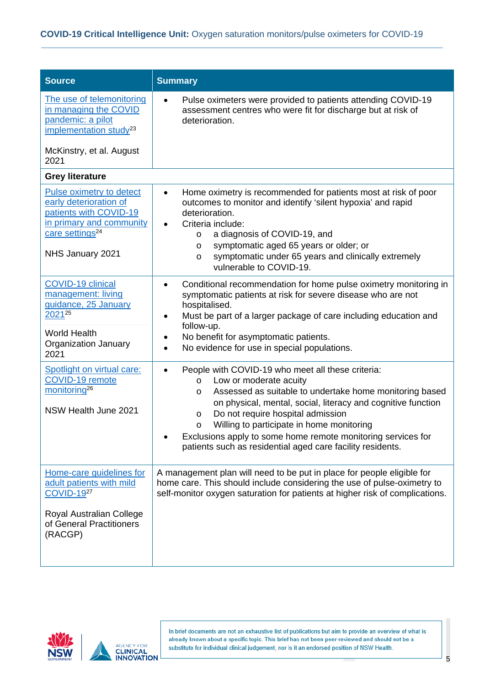| <b>Source</b>                                                                                                                                               | <b>Summary</b>                                                                                                                                                                                                                                                                                                                                                                                                                                                            |
|-------------------------------------------------------------------------------------------------------------------------------------------------------------|---------------------------------------------------------------------------------------------------------------------------------------------------------------------------------------------------------------------------------------------------------------------------------------------------------------------------------------------------------------------------------------------------------------------------------------------------------------------------|
| The use of telemonitoring<br>in managing the COVID<br>pandemic: a pilot<br>implementation study <sup>23</sup>                                               | Pulse oximeters were provided to patients attending COVID-19<br>$\bullet$<br>assessment centres who were fit for discharge but at risk of<br>deterioration.                                                                                                                                                                                                                                                                                                               |
| McKinstry, et al. August<br>2021                                                                                                                            |                                                                                                                                                                                                                                                                                                                                                                                                                                                                           |
| <b>Grey literature</b>                                                                                                                                      |                                                                                                                                                                                                                                                                                                                                                                                                                                                                           |
| Pulse oximetry to detect<br>early deterioration of<br>patients with COVID-19<br>in primary and community<br>care settings <sup>24</sup><br>NHS January 2021 | Home oximetry is recommended for patients most at risk of poor<br>$\bullet$<br>outcomes to monitor and identify 'silent hypoxia' and rapid<br>deterioration.<br>Criteria include:<br>$\bullet$<br>a diagnosis of COVID-19, and<br>$\circ$<br>symptomatic aged 65 years or older; or<br>$\circ$<br>symptomatic under 65 years and clinically extremely<br>$\circ$<br>vulnerable to COVID-19.                                                                               |
| <b>COVID-19 clinical</b><br>management: living<br>quidance, 25 January<br>202125<br><b>World Health</b>                                                     | Conditional recommendation for home pulse oximetry monitoring in<br>$\bullet$<br>symptomatic patients at risk for severe disease who are not<br>hospitalised.<br>Must be part of a larger package of care including education and<br>$\bullet$<br>follow-up.                                                                                                                                                                                                              |
| Organization January<br>2021                                                                                                                                | No benefit for asymptomatic patients.<br>No evidence for use in special populations.                                                                                                                                                                                                                                                                                                                                                                                      |
| Spotlight on virtual care:<br>COVID-19 remote<br>monitoring <sup>26</sup><br>NSW Health June 2021                                                           | People with COVID-19 who meet all these criteria:<br>$\bullet$<br>Low or moderate acuity<br>$\circ$<br>Assessed as suitable to undertake home monitoring based<br>$\circ$<br>on physical, mental, social, literacy and cognitive function<br>Do not require hospital admission<br>$\circ$<br>Willing to participate in home monitoring<br>O<br>Exclusions apply to some home remote monitoring services for<br>patients such as residential aged care facility residents. |
| Home-care guidelines for<br>adult patients with mild<br><b>COVID-1927</b><br>Royal Australian College<br>of General Practitioners<br>(RACGP)                | A management plan will need to be put in place for people eligible for<br>home care. This should include considering the use of pulse-oximetry to<br>self-monitor oxygen saturation for patients at higher risk of complications.                                                                                                                                                                                                                                         |



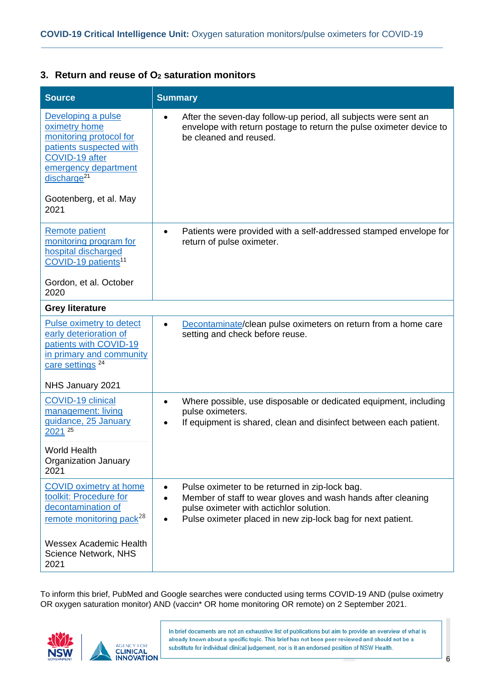### **3. Return and reuse of O2 saturation monitors**

| <b>Source</b>                                                                                                                                                                                    | <b>Summary</b>                                                                                                                                                                                                                |
|--------------------------------------------------------------------------------------------------------------------------------------------------------------------------------------------------|-------------------------------------------------------------------------------------------------------------------------------------------------------------------------------------------------------------------------------|
| Developing a pulse<br>oximetry home<br>monitoring protocol for<br>patients suspected with<br>COVID-19 after<br>emergency department<br>discharge <sup>21</sup><br>Gootenberg, et al. May<br>2021 | After the seven-day follow-up period, all subjects were sent an<br>$\bullet$<br>envelope with return postage to return the pulse oximeter device to<br>be cleaned and reused.                                                 |
| <b>Remote patient</b><br>monitoring program for<br>hospital discharged<br>COVID-19 patients <sup>11</sup><br>Gordon, et al. October<br>2020                                                      | Patients were provided with a self-addressed stamped envelope for<br>$\bullet$<br>return of pulse oximeter.                                                                                                                   |
| <b>Grey literature</b>                                                                                                                                                                           |                                                                                                                                                                                                                               |
| Pulse oximetry to detect<br>early deterioration of<br>patients with COVID-19<br>in primary and community<br>care settings <sup>24</sup><br>NHS January 2021                                      | Decontaminate/clean pulse oximeters on return from a home care<br>$\bullet$<br>setting and check before reuse.                                                                                                                |
| <b>COVID-19 clinical</b><br>management: living<br>guidance, 25 January<br>2021 25<br><b>World Health</b><br><b>Organization January</b>                                                          | Where possible, use disposable or dedicated equipment, including<br>$\bullet$<br>pulse oximeters.<br>If equipment is shared, clean and disinfect between each patient.<br>$\bullet$                                           |
| 2021                                                                                                                                                                                             |                                                                                                                                                                                                                               |
| <b>COVID oximetry at home</b><br>toolkit: Procedure for<br>decontamination of<br>remote monitoring pack <sup>28</sup><br><b>Wessex Academic Health</b><br>Science Network, NHS<br>2021           | Pulse oximeter to be returned in zip-lock bag.<br>Member of staff to wear gloves and wash hands after cleaning<br>pulse oximeter with actichlor solution.<br>Pulse oximeter placed in new zip-lock bag for next patient.<br>٠ |

To inform this brief, PubMed and Google searches were conducted using terms COVID-19 AND (pulse oximetry OR oxygen saturation monitor) AND (vaccin\* OR home monitoring OR remote) on 2 September 2021.



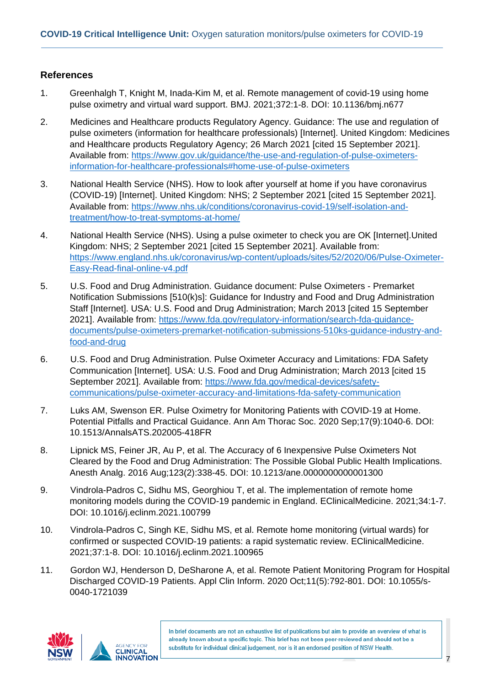## **References**

- 1. Greenhalgh T, Knight M, Inada-Kim M, et al. Remote management of covid-19 using home pulse oximetry and virtual ward support. BMJ. 2021;372:1-8. DOI: 10.1136/bmj.n677
- 2. Medicines and Healthcare products Regulatory Agency. Guidance: The use and regulation of pulse oximeters (information for healthcare professionals) [Internet]. United Kingdom: Medicines and Healthcare products Regulatory Agency; 26 March 2021 [cited 15 September 2021]. Available from: [https://www.gov.uk/guidance/the-use-and-regulation-of-pulse-oximeters](https://www.gov.uk/guidance/the-use-and-regulation-of-pulse-oximeters-information-for-healthcare-professionals#home-use-of-pulse-oximeters)[information-for-healthcare-professionals#home-use-of-pulse-oximeters](https://www.gov.uk/guidance/the-use-and-regulation-of-pulse-oximeters-information-for-healthcare-professionals#home-use-of-pulse-oximeters)
- 3. National Health Service (NHS). How to look after yourself at home if you have coronavirus (COVID-19) [Internet]. United Kingdom: NHS; 2 September 2021 [cited 15 September 2021]. Available from: [https://www.nhs.uk/conditions/coronavirus-covid-19/self-isolation-and](https://www.nhs.uk/conditions/coronavirus-covid-19/self-isolation-and-treatment/how-to-treat-symptoms-at-home/)[treatment/how-to-treat-symptoms-at-home/](https://www.nhs.uk/conditions/coronavirus-covid-19/self-isolation-and-treatment/how-to-treat-symptoms-at-home/)
- 4. National Health Service (NHS). Using a pulse oximeter to check you are OK [Internet].United Kingdom: NHS; 2 September 2021 [cited 15 September 2021]. Available from: [https://www.england.nhs.uk/coronavirus/wp-content/uploads/sites/52/2020/06/Pulse-Oximeter-](https://www.england.nhs.uk/coronavirus/wp-content/uploads/sites/52/2020/06/Pulse-Oximeter-Easy-Read-final-online-v4.pdf)[Easy-Read-final-online-v4.pdf](https://www.england.nhs.uk/coronavirus/wp-content/uploads/sites/52/2020/06/Pulse-Oximeter-Easy-Read-final-online-v4.pdf)
- 5. U.S. Food and Drug Administration. Guidance document: Pulse Oximeters Premarket Notification Submissions [510(k)s]: Guidance for Industry and Food and Drug Administration Staff [Internet]. USA: U.S. Food and Drug Administration; March 2013 [cited 15 September 2021]. Available from: [https://www.fda.gov/regulatory-information/search-fda-guidance](https://www.fda.gov/regulatory-information/search-fda-guidance-documents/pulse-oximeters-premarket-notification-submissions-510ks-guidance-industry-and-food-and-drug)[documents/pulse-oximeters-premarket-notification-submissions-510ks-guidance-industry-and](https://www.fda.gov/regulatory-information/search-fda-guidance-documents/pulse-oximeters-premarket-notification-submissions-510ks-guidance-industry-and-food-and-drug)[food-and-drug](https://www.fda.gov/regulatory-information/search-fda-guidance-documents/pulse-oximeters-premarket-notification-submissions-510ks-guidance-industry-and-food-and-drug)
- 6. U.S. Food and Drug Administration. Pulse Oximeter Accuracy and Limitations: FDA Safety Communication [Internet]. USA: U.S. Food and Drug Administration; March 2013 [cited 15 September 2021]. Available from: [https://www.fda.gov/medical-devices/safety](https://www.fda.gov/medical-devices/safety-communications/pulse-oximeter-accuracy-and-limitations-fda-safety-communication)[communications/pulse-oximeter-accuracy-and-limitations-fda-safety-communication](https://www.fda.gov/medical-devices/safety-communications/pulse-oximeter-accuracy-and-limitations-fda-safety-communication)
- 7. Luks AM, Swenson ER. Pulse Oximetry for Monitoring Patients with COVID-19 at Home. Potential Pitfalls and Practical Guidance. Ann Am Thorac Soc. 2020 Sep;17(9):1040-6. DOI: 10.1513/AnnalsATS.202005-418FR
- 8. Lipnick MS, Feiner JR, Au P, et al. The Accuracy of 6 Inexpensive Pulse Oximeters Not Cleared by the Food and Drug Administration: The Possible Global Public Health Implications. Anesth Analg. 2016 Aug;123(2):338-45. DOI: 10.1213/ane.0000000000001300
- 9. Vindrola-Padros C, Sidhu MS, Georghiou T, et al. The implementation of remote home monitoring models during the COVID-19 pandemic in England. EClinicalMedicine. 2021;34:1-7. DOI: 10.1016/j.eclinm.2021.100799
- 10. Vindrola-Padros C, Singh KE, Sidhu MS, et al. Remote home monitoring (virtual wards) for confirmed or suspected COVID-19 patients: a rapid systematic review. EClinicalMedicine. 2021;37:1-8. DOI: 10.1016/j.eclinm.2021.100965
- 11. Gordon WJ, Henderson D, DeSharone A, et al. Remote Patient Monitoring Program for Hospital Discharged COVID-19 Patients. Appl Clin Inform. 2020 Oct;11(5):792-801. DOI: 10.1055/s-0040-1721039



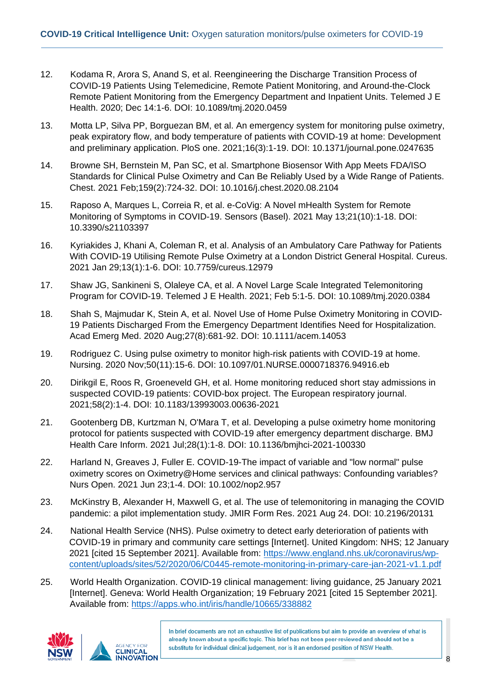- 12. Kodama R, Arora S, Anand S, et al. Reengineering the Discharge Transition Process of COVID-19 Patients Using Telemedicine, Remote Patient Monitoring, and Around-the-Clock Remote Patient Monitoring from the Emergency Department and Inpatient Units. Telemed J E Health. 2020; Dec 14:1-6. DOI: 10.1089/tmj.2020.0459
- 13. Motta LP, Silva PP, Borguezan BM, et al. An emergency system for monitoring pulse oximetry, peak expiratory flow, and body temperature of patients with COVID-19 at home: Development and preliminary application. PloS one. 2021;16(3):1-19. DOI: 10.1371/journal.pone.0247635
- 14. Browne SH, Bernstein M, Pan SC, et al. Smartphone Biosensor With App Meets FDA/ISO Standards for Clinical Pulse Oximetry and Can Be Reliably Used by a Wide Range of Patients. Chest. 2021 Feb;159(2):724-32. DOI: 10.1016/j.chest.2020.08.2104
- 15. Raposo A, Marques L, Correia R, et al. e-CoVig: A Novel mHealth System for Remote Monitoring of Symptoms in COVID-19. Sensors (Basel). 2021 May 13;21(10):1-18. DOI: 10.3390/s21103397
- 16. Kyriakides J, Khani A, Coleman R, et al. Analysis of an Ambulatory Care Pathway for Patients With COVID-19 Utilising Remote Pulse Oximetry at a London District General Hospital. Cureus. 2021 Jan 29;13(1):1-6. DOI: 10.7759/cureus.12979
- 17. Shaw JG, Sankineni S, Olaleye CA, et al. A Novel Large Scale Integrated Telemonitoring Program for COVID-19. Telemed J E Health. 2021; Feb 5:1-5. DOI: 10.1089/tmj.2020.0384
- 18. Shah S, Majmudar K, Stein A, et al. Novel Use of Home Pulse Oximetry Monitoring in COVID-19 Patients Discharged From the Emergency Department Identifies Need for Hospitalization. Acad Emerg Med. 2020 Aug;27(8):681-92. DOI: 10.1111/acem.14053
- 19. Rodriguez C. Using pulse oximetry to monitor high-risk patients with COVID-19 at home. Nursing. 2020 Nov;50(11):15-6. DOI: 10.1097/01.NURSE.0000718376.94916.eb
- 20. Dirikgil E, Roos R, Groeneveld GH, et al. Home monitoring reduced short stay admissions in suspected COVID-19 patients: COVID-box project. The European respiratory journal. 2021;58(2):1-4. DOI: 10.1183/13993003.00636-2021
- 21. Gootenberg DB, Kurtzman N, O'Mara T, et al. Developing a pulse oximetry home monitoring protocol for patients suspected with COVID-19 after emergency department discharge. BMJ Health Care Inform. 2021 Jul;28(1):1-8. DOI: 10.1136/bmjhci-2021-100330
- 22. Harland N, Greaves J, Fuller E. COVID-19-The impact of variable and "low normal" pulse oximetry scores on Oximetry@Home services and clinical pathways: Confounding variables? Nurs Open. 2021 Jun 23;1-4. DOI: 10.1002/nop2.957
- 23. McKinstry B, Alexander H, Maxwell G, et al. The use of telemonitoring in managing the COVID pandemic: a pilot implementation study. JMIR Form Res. 2021 Aug 24. DOI: 10.2196/20131
- 24. National Health Service (NHS). Pulse oximetry to detect early deterioration of patients with COVID-19 in primary and community care settings [Internet]. United Kingdom: NHS; 12 January 2021 [cited 15 September 2021]. Available from: [https://www.england.nhs.uk/coronavirus/wp](https://www.england.nhs.uk/coronavirus/wp-content/uploads/sites/52/2020/06/C0445-remote-monitoring-in-primary-care-jan-2021-v1.1.pdf)[content/uploads/sites/52/2020/06/C0445-remote-monitoring-in-primary-care-jan-2021-v1.1.pdf](https://www.england.nhs.uk/coronavirus/wp-content/uploads/sites/52/2020/06/C0445-remote-monitoring-in-primary-care-jan-2021-v1.1.pdf)
- 25. World Health Organization. COVID-19 clinical management: living guidance, 25 January 2021 [Internet]. Geneva: World Health Organization; 19 February 2021 [cited 15 September 2021]. Available from:<https://apps.who.int/iris/handle/10665/338882>